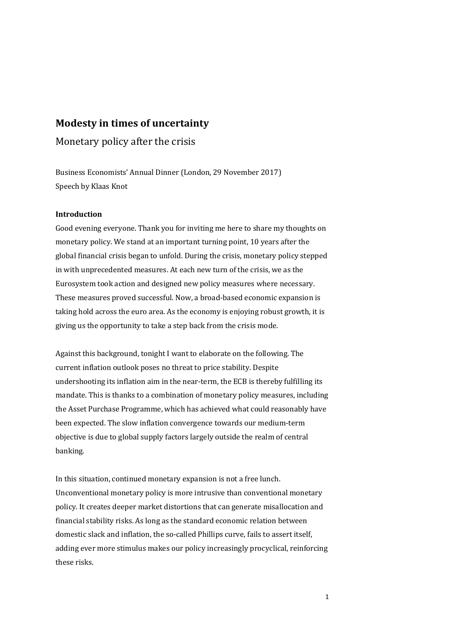# **Modesty in times of uncertainty**

Monetary policy after the crisis

Business Economists' Annual Dinner (London, 29 November 2017) Speech by Klaas Knot

# **Introduction**

Good evening everyone. Thank you for inviting me here to share my thoughts on monetary policy. We stand at an important turning point, 10 years after the global financial crisis began to unfold. During the crisis, monetary policy stepped in with unprecedented measures. At each new turn of the crisis, we as the Eurosystem took action and designed new policy measures where necessary. These measures proved successful. Now, a broad-based economic expansion is taking hold across the euro area. As the economy is enjoying robust growth, it is giving us the opportunity to take a step back from the crisis mode.

Against this background, tonight I want to elaborate on the following. The current inflation outlook poses no threat to price stability. Despite undershooting its inflation aim in the near-term, the ECB is thereby fulfilling its mandate. This is thanks to a combination of monetary policy measures, including the Asset Purchase Programme, which has achieved what could reasonably have been expected. The slow inflation convergence towards our medium-term objective is due to global supply factors largely outside the realm of central banking.

In this situation, continued monetary expansion is not a free lunch. Unconventional monetary policy is more intrusive than conventional monetary policy. It creates deeper market distortions that can generate misallocation and financial stability risks. As long as the standard economic relation between domestic slack and inflation, the so-called Phillips curve, fails to assert itself, adding ever more stimulus makes our policy increasingly procyclical, reinforcing these risks.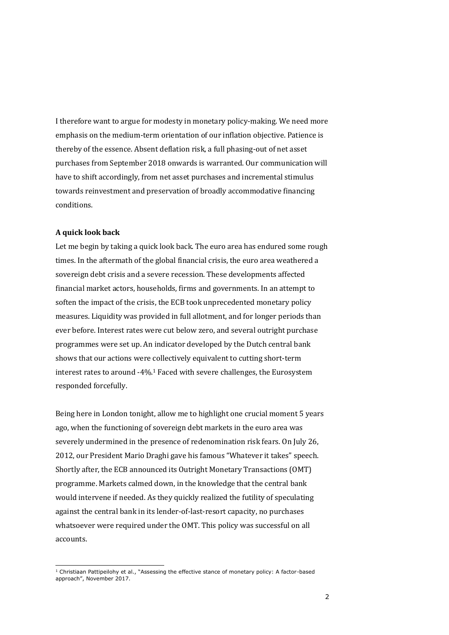I therefore want to argue for modesty in monetary policy-making. We need more emphasis on the medium-term orientation of our inflation objective. Patience is thereby of the essence. Absent deflation risk, a full phasing-out of net asset purchases from September 2018 onwards is warranted. Our communication will have to shift accordingly, from net asset purchases and incremental stimulus towards reinvestment and preservation of broadly accommodative financing conditions.

#### **A quick look back**

1

Let me begin by taking a quick look back. The euro area has endured some rough times. In the aftermath of the global financial crisis, the euro area weathered a sovereign debt crisis and a severe recession. These developments affected financial market actors, households, firms and governments. In an attempt to soften the impact of the crisis, the ECB took unprecedented monetary policy measures. Liquidity was provided in full allotment, and for longer periods than ever before. Interest rates were cut below zero, and several outright purchase programmes were set up. An indicator developed by the Dutch central bank shows that our actions were collectively equivalent to cutting short-term interest rates to around -4%.<sup>1</sup> Faced with severe challenges, the Eurosystem responded forcefully.

Being here in London tonight, allow me to highlight one crucial moment 5 years ago, when the functioning of sovereign debt markets in the euro area was severely undermined in the presence of redenomination risk fears. On July 26, 2012, our President Mario Draghi gave his famous "Whatever it takes" speech. Shortly after, the ECB announced its Outright Monetary Transactions (OMT) programme. Markets calmed down, in the knowledge that the central bank would intervene if needed. As they quickly realized the futility of speculating against the central bank in its lender-of-last-resort capacity, no purchases whatsoever were required under the OMT. This policy was successful on all accounts.

 $1$  Christiaan Pattipeilohy et al., "Assessing the effective stance of monetary policy: A factor-based approach", November 2017.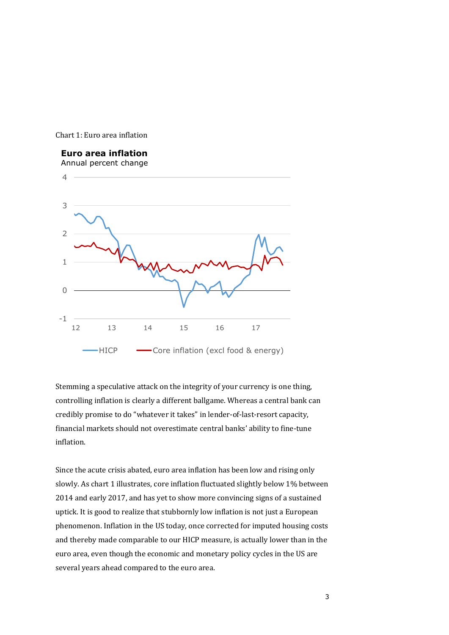



Stemming a speculative attack on the integrity of your currency is one thing, controlling inflation is clearly a different ballgame. Whereas a central bank can credibly promise to do "whatever it takes" in lender-of-last-resort capacity, financial markets should not overestimate central banks' ability to fine-tune inflation.

Since the acute crisis abated, euro area inflation has been low and rising only slowly. As chart 1 illustrates, core inflation fluctuated slightly below 1% between 2014 and early 2017, and has yet to show more convincing signs of a sustained uptick. It is good to realize that stubbornly low inflation is not just a European phenomenon. Inflation in the US today, once corrected for imputed housing costs and thereby made comparable to our HICP measure, is actually lower than in the euro area, even though the economic and monetary policy cycles in the US are several years ahead compared to the euro area.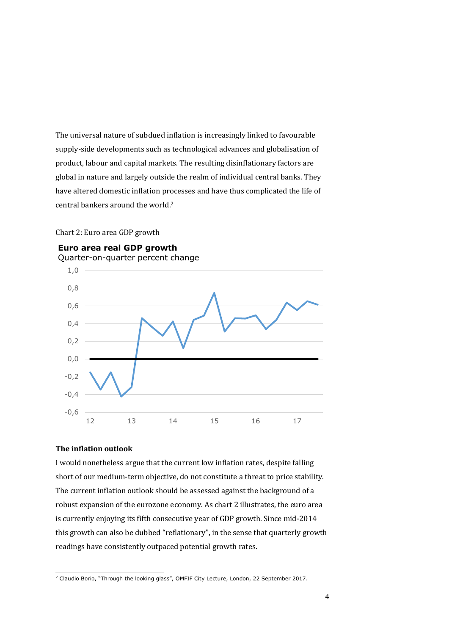The universal nature of subdued inflation is increasingly linked to favourable supply-side developments such as technological advances and globalisation of product, labour and capital markets. The resulting disinflationary factors are global in nature and largely outside the realm of individual central banks. They have altered domestic inflation processes and have thus complicated the life of central bankers around the world. 2

## Chart 2: Euro area GDP growth



# **Euro area real GDP growth**

**The inflation outlook**

I would nonetheless argue that the current low inflation rates, despite falling short of our medium-term objective, do not constitute a threat to price stability. The current inflation outlook should be assessed against the background of a robust expansion of the eurozone economy. As chart 2 illustrates, the euro area is currently enjoying its fifth consecutive year of GDP growth. Since mid-2014 this growth can also be dubbed "reflationary", in the sense that quarterly growth readings have consistently outpaced potential growth rates.

ł <sup>2</sup> Claudio Borio, "Through the looking glass", OMFIF City Lecture, London, 22 September 2017.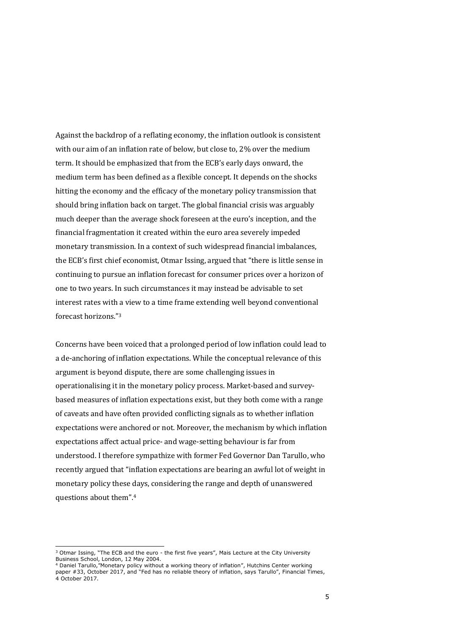Against the backdrop of a reflating economy, the inflation outlook is consistent with our aim of an inflation rate of below, but close to, 2% over the medium term. It should be emphasized that from the ECB's early days onward, the medium term has been defined as a flexible concept. It depends on the shocks hitting the economy and the efficacy of the monetary policy transmission that should bring inflation back on target. The global financial crisis was arguably much deeper than the average shock foreseen at the euro's inception, and the financial fragmentation it created within the euro area severely impeded monetary transmission. In a context of such widespread financial imbalances, the ECB's first chief economist, Otmar Issing, argued that "there is little sense in continuing to pursue an inflation forecast for consumer prices over a horizon of one to two years. In such circumstances it may instead be advisable to set interest rates with a view to a time frame extending well beyond conventional forecast horizons."<sup>3</sup>

Concerns have been voiced that a prolonged period of low inflation could lead to a de-anchoring of inflation expectations. While the conceptual relevance of this argument is beyond dispute, there are some challenging issues in operationalising it in the monetary policy process. Market-based and surveybased measures of inflation expectations exist, but they both come with a range of caveats and have often provided conflicting signals as to whether inflation expectations were anchored or not. Moreover, the mechanism by which inflation expectations affect actual price- and wage-setting behaviour is far from understood. I therefore sympathize with former Fed Governor Dan Tarullo, who recently argued that "inflation expectations are bearing an awful lot of weight in monetary policy these days, considering the range and depth of unanswered questions about them".<sup>4</sup>

ł

<sup>&</sup>lt;sup>3</sup> Otmar Issing, "The ECB and the euro - the first five years", Mais Lecture at the City University Business School, London, 12 May 2004.

<sup>4</sup> Daniel Tarullo,"Monetary policy without a working theory of inflation", Hutchins Center working paper #33, October 2017, and "Fed has no reliable theory of inflation, says Tarullo", Financial Times, 4 October 2017.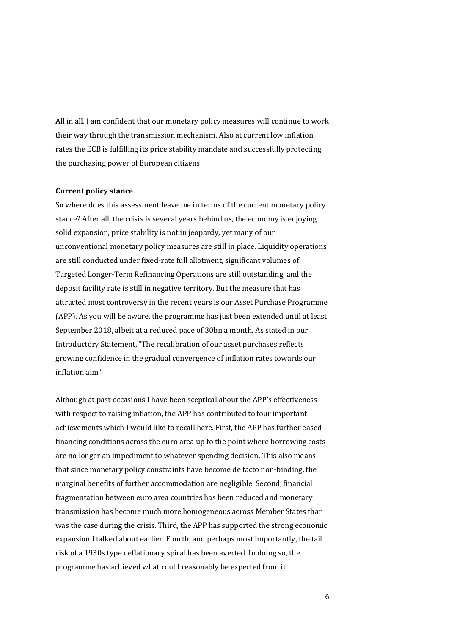All in all, I am confident that our monetary policy measures will continue to work their way through the transmission mechanism. Also at current low inflation rates the ECB is fulfilling its price stability mandate and successfully protecting the purchasing power of European citizens.

## **Current policy stance**

So where does this assessment leave me in terms of the current monetary policy stance? After all, the crisis is several years behind us, the economy is enjoying solid expansion, price stability is not in jeopardy, yet many of our unconventional monetary policy measures are still in place. Liquidity operations are still conducted under fixed-rate full allotment, significant volumes of Targeted Longer-Term Refinancing Operations are still outstanding, and the deposit facility rate is still in negative territory. But the measure that has attracted most controversy in the recent years is our Asset Purchase Programme (APP). As you will be aware, the programme has just been extended until at least September 2018, albeit at a reduced pace of 30bn a month. As stated in our Introductory Statement, "The recalibration of our asset purchases reflects growing confidence in the gradual convergence of inflation rates towards our inflation aim."

Although at past occasions I have been sceptical about the APP's effectiveness with respect to raising inflation, the APP has contributed to four important achievements which I would like to recall here. First, the APP has further eased financing conditions across the euro area up to the point where borrowing costs are no longer an impediment to whatever spending decision. This also means that since monetary policy constraints have become de facto non-binding, the marginal benefits of further accommodation are negligible. Second, financial fragmentation between euro area countries has been reduced and monetary transmission has become much more homogeneous across Member States than was the case during the crisis. Third, the APP has supported the strong economic expansion I talked about earlier. Fourth, and perhaps most importantly, the tail risk of a 1930s type deflationary spiral has been averted. In doing so, the programme has achieved what could reasonably be expected from it.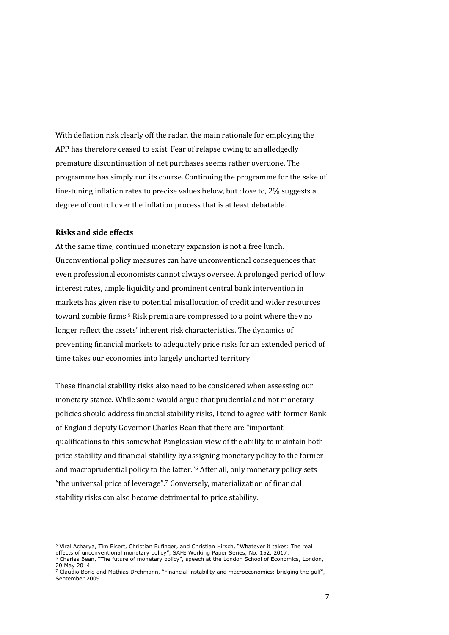With deflation risk clearly off the radar, the main rationale for employing the APP has therefore ceased to exist. Fear of relapse owing to an alledgedly premature discontinuation of net purchases seems rather overdone. The programme has simply run its course. Continuing the programme for the sake of fine-tuning inflation rates to precise values below, but close to, 2% suggests a degree of control over the inflation process that is at least debatable.

#### **Risks and side effects**

At the same time, continued monetary expansion is not a free lunch. Unconventional policy measures can have unconventional consequences that even professional economists cannot always oversee. A prolonged period of low interest rates, ample liquidity and prominent central bank intervention in markets has given rise to potential misallocation of credit and wider resources toward zombie firms. <sup>5</sup> Risk premia are compressed to a point where they no longer reflect the assets' inherent risk characteristics. The dynamics of preventing financial markets to adequately price risks for an extended period of time takes our economies into largely uncharted territory.

These financial stability risks also need to be considered when assessing our monetary stance. While some would argue that prudential and not monetary policies should address financial stability risks, I tend to agree with former Bank of England deputy Governor Charles Bean that there are "important qualifications to this somewhat Panglossian view of the ability to maintain both price stability and financial stability by assigning monetary policy to the former and macroprudential policy to the latter."<sup>6</sup> After all, only monetary policy sets "the universal price of leverage".<sup>7</sup> Conversely, materialization of financial stability risks can also become detrimental to price stability.

<sup>1</sup> <sup>5</sup> Viral Acharya, Tim Eisert, Christian Eufinger, and Christian Hirsch, "Whatever it takes: The real effects of unconventional monetary policy", SAFE Working Paper Series, No. 152, 2017.

<sup>6</sup> Charles Bean, "The future of monetary policy", speech at the London School of Economics, London, 20 May 2014.

 $7$  Claudio Borio and Mathias Drehmann, "Financial instability and macroeconomics: bridging the gulf", September 2009.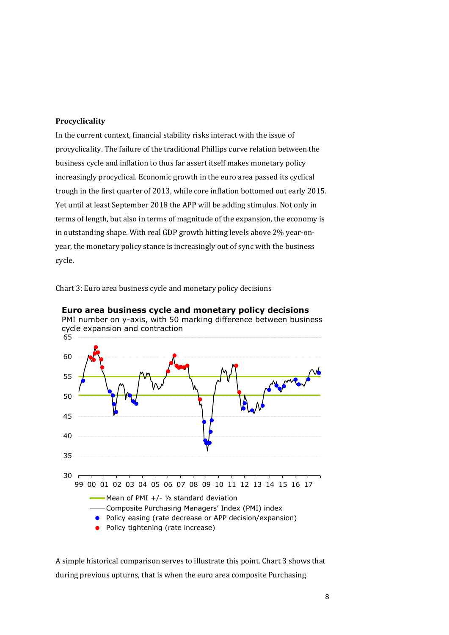# **Procyclicality**

In the current context, financial stability risks interact with the issue of procyclicality. The failure of the traditional Phillips curve relation between the business cycle and inflation to thus far assert itself makes monetary policy increasingly procyclical. Economic growth in the euro area passed its cyclical trough in the first quarter of 2013, while core inflation bottomed out early 2015. Yet until at least September 2018 the APP will be adding stimulus. Not only in terms of length, but also in terms of magnitude of the expansion, the economy is in outstanding shape. With real GDP growth hitting levels above 2% year-onyear, the monetary policy stance is increasingly out of sync with the business cycle.

Chart 3: Euro area business cycle and monetary policy decisions



**Euro area business cycle and monetary policy decisions** PMI number on y-axis, with 50 marking difference between business

A simple historical comparison serves to illustrate this point. Chart 3 shows that during previous upturns, that is when the euro area composite Purchasing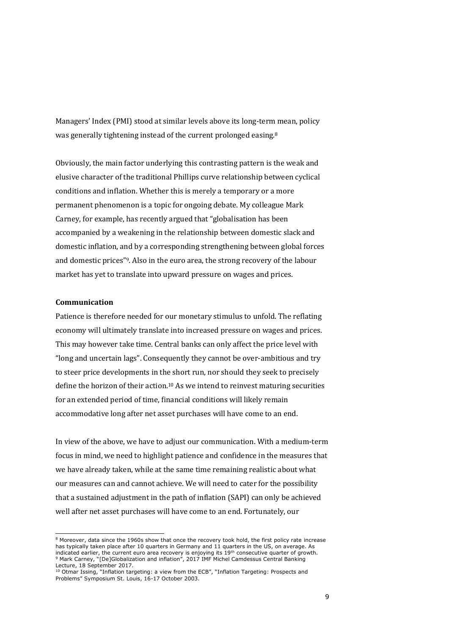Managers' Index (PMI) stood at similar levels above its long-term mean, policy was generally tightening instead of the current prolonged easing.<sup>8</sup>

Obviously, the main factor underlying this contrasting pattern is the weak and elusive character of the traditional Phillips curve relationship between cyclical conditions and inflation. Whether this is merely a temporary or a more permanent phenomenon is a topic for ongoing debate. My colleague Mark Carney, for example, has recently argued that "globalisation has been accompanied by a weakening in the relationship between domestic slack and domestic inflation, and by a corresponding strengthening between global forces and domestic prices"9. Also in the euro area, the strong recovery of the labour market has yet to translate into upward pressure on wages and prices.

#### **Communication**

-

Patience is therefore needed for our monetary stimulus to unfold. The reflating economy will ultimately translate into increased pressure on wages and prices. This may however take time. Central banks can only affect the price level with "long and uncertain lags". Consequently they cannot be over-ambitious and try to steer price developments in the short run, nor should they seek to precisely define the horizon of their action.<sup>10</sup> As we intend to reinvest maturing securities for an extended period of time, financial conditions will likely remain accommodative long after net asset purchases will have come to an end.

In view of the above, we have to adjust our communication. With a medium-term focus in mind, we need to highlight patience and confidence in the measures that we have already taken, while at the same time remaining realistic about what our measures can and cannot achieve. We will need to cater for the possibility that a sustained adjustment in the path of inflation (SAPI) can only be achieved well after net asset purchases will have come to an end. Fortunately, our

<sup>&</sup>lt;sup>8</sup> Moreover, data since the 1960s show that once the recovery took hold, the first policy rate increase has typically taken place after 10 quarters in Germany and 11 quarters in the US, on average. As indicated earlier, the current euro area recovery is enjoying its  $19<sup>th</sup>$  consecutive quarter of growth. <sup>9</sup> Mark Carney, "[De]Globalization and inflation", 2017 IMF Michel Camdessus Central Banking Lecture, 18 September 2017.

<sup>&</sup>lt;sup>10</sup> Otmar Issing, "Inflation targeting: a view from the ECB", "Inflation Targeting: Prospects and Problems" Symposium St. Louis, 16-17 October 2003.